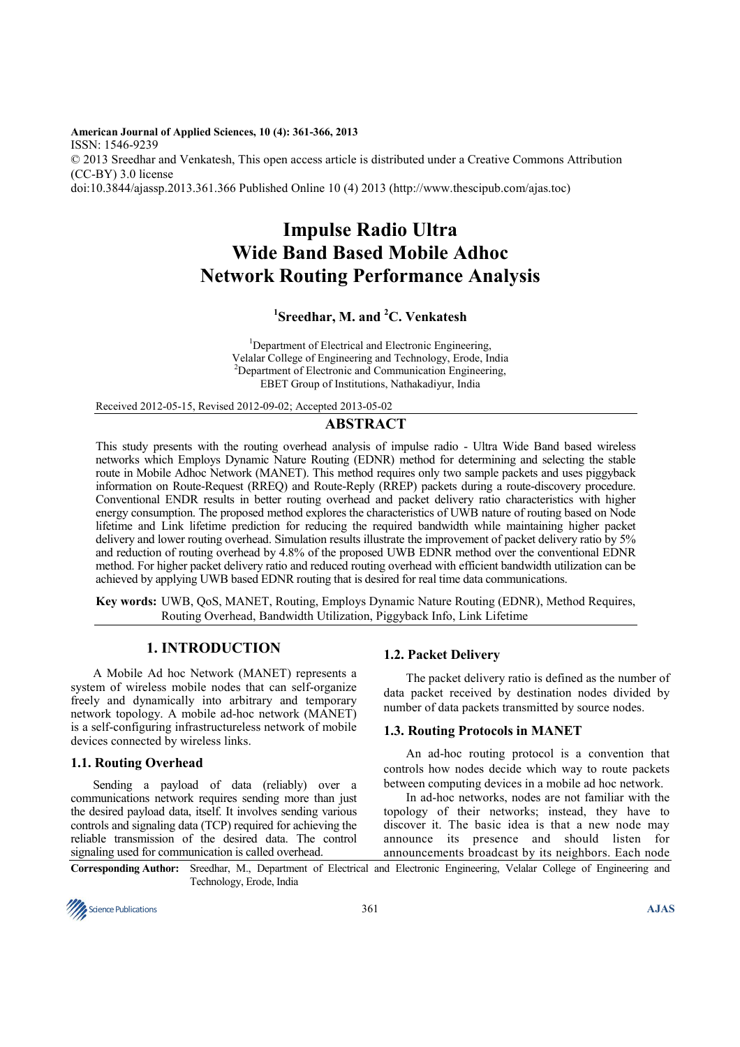**American Journal of Applied Sciences, 10 (4): 361-366, 2013**  ISSN: 1546-9239 © 2013 Sreedhar and Venkatesh, This open access article is distributed under a Creative Commons Attribution (CC-BY) 3.0 license doi:10.3844/ajassp.2013.361.366 Published Online 10 (4) 2013 (http://www.thescipub.com/ajas.toc)

# **Impulse Radio Ultra Wide Band Based Mobile Adhoc Network Routing Performance Analysis**

# **1 Sreedhar, M. and <sup>2</sup>C. Venkatesh**

<sup>1</sup>Department of Electrical and Electronic Engineering, Velalar College of Engineering and Technology, Erode, India <sup>2</sup>Department of Electronic and Communication Engineering, EBET Group of Institutions, Nathakadiyur, India

Received 2012-05-15, Revised 2012-09-02; Accepted 2013-05-02

# **ABSTRACT**

This study presents with the routing overhead analysis of impulse radio - Ultra Wide Band based wireless networks which Employs Dynamic Nature Routing (EDNR) method for determining and selecting the stable route in Mobile Adhoc Network (MANET). This method requires only two sample packets and uses piggyback information on Route-Request (RREQ) and Route-Reply (RREP) packets during a route-discovery procedure. Conventional ENDR results in better routing overhead and packet delivery ratio characteristics with higher energy consumption. The proposed method explores the characteristics of UWB nature of routing based on Node lifetime and Link lifetime prediction for reducing the required bandwidth while maintaining higher packet delivery and lower routing overhead. Simulation results illustrate the improvement of packet delivery ratio by 5% and reduction of routing overhead by 4.8% of the proposed UWB EDNR method over the conventional EDNR method. For higher packet delivery ratio and reduced routing overhead with efficient bandwidth utilization can be achieved by applying UWB based EDNR routing that is desired for real time data communications.

**Key words:** UWB, QoS, MANET, Routing, Employs Dynamic Nature Routing (EDNR), Method Requires, Routing Overhead, Bandwidth Utilization, Piggyback Info, Link Lifetime

# **1. INTRODUCTION**

 A Mobile Ad hoc Network (MANET) represents a system of wireless mobile nodes that can self-organize freely and dynamically into arbitrary and temporary network topology. A mobile ad-hoc network (MANET) is a self-configuring infrastructureless network of mobile devices connected by wireless links.

#### **1.1. Routing Overhead**

 Sending a payload of data (reliably) over a communications network requires sending more than just the desired payload data, itself. It involves sending various controls and signaling data (TCP) required for achieving the reliable transmission of the desired data. The control signaling used for communication is called overhead.

## **1.2. Packet Delivery**

The packet delivery ratio is defined as the number of data packet received by destination nodes divided by number of data packets transmitted by source nodes.

## **1.3. Routing Protocols in MANET**

An ad-hoc routing protocol is a convention that controls how nodes decide which way to route packets between computing devices in a mobile ad hoc network.

 In ad-hoc networks, nodes are not familiar with the topology of their networks; instead, they have to discover it. The basic idea is that a new node may announce its presence and should listen for announcements broadcast by its neighbors. Each node

**Corresponding Author:** Sreedhar, M., Department of Electrical and Electronic Engineering, Velalar College of Engineering and Technology, Erode, India

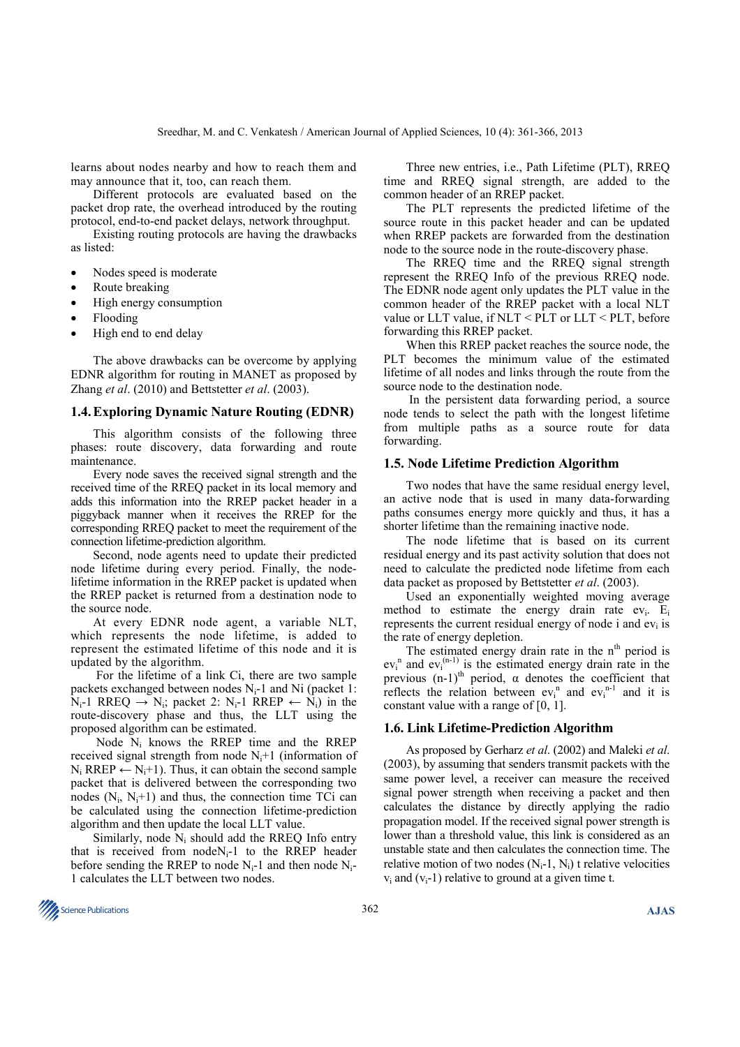learns about nodes nearby and how to reach them and may announce that it, too, can reach them.

 Different protocols are evaluated based on the packet drop rate, the overhead introduced by the routing protocol, end-to-end packet delays, network throughput.

 Existing routing protocols are having the drawbacks as listed:

- Nodes speed is moderate
- Route breaking
- High energy consumption
- Flooding
- High end to end delay

 The above drawbacks can be overcome by applying EDNR algorithm for routing in MANET as proposed by Zhang *et al*. (2010) and Bettstetter *et al*. (2003).

#### **1.4. Exploring Dynamic Nature Routing (EDNR)**

This algorithm consists of the following three phases: route discovery, data forwarding and route maintenance.

 Every node saves the received signal strength and the received time of the RREQ packet in its local memory and adds this information into the RREP packet header in a piggyback manner when it receives the RREP for the corresponding RREQ packet to meet the requirement of the connection lifetime-prediction algorithm.

 Second, node agents need to update their predicted node lifetime during every period. Finally, the nodelifetime information in the RREP packet is updated when the RREP packet is returned from a destination node to the source node.

 At every EDNR node agent, a variable NLT, which represents the node lifetime, is added to represent the estimated lifetime of this node and it is updated by the algorithm.

 For the lifetime of a link Ci, there are two sample packets exchanged between nodes  $N_i-1$  and Ni (packet 1:  $N_i$ -1 RREQ  $\rightarrow$  N<sub>i</sub>; packet 2: N<sub>i</sub>-1 RREP  $\leftarrow$  N<sub>i</sub>) in the route-discovery phase and thus, the LLT using the proposed algorithm can be estimated.

Node  $N_i$  knows the RREP time and the RREP received signal strength from node  $N<sub>i</sub>+1$  (information of  $N_i$  RREP  $\leftarrow$   $N_i$ +1). Thus, it can obtain the second sample packet that is delivered between the corresponding two nodes  $(N_i, N_i+1)$  and thus, the connection time TCi can be calculated using the connection lifetime-prediction algorithm and then update the local LLT value.

Similarly, node  $N_i$  should add the RREQ Info entry that is received from  $nodeN_i-1$  to the RREP header before sending the RREP to node  $N_i$ -1 and then node  $N_i$ -1 calculates the LLT between two nodes.

 Three new entries, i.e., Path Lifetime (PLT), RREQ time and RREQ signal strength, are added to the common header of an RREP packet.

 The PLT represents the predicted lifetime of the source route in this packet header and can be updated when RREP packets are forwarded from the destination node to the source node in the route-discovery phase.

 The RREQ time and the RREQ signal strength represent the RREQ Info of the previous RREQ node. The EDNR node agent only updates the PLT value in the common header of the RREP packet with a local NLT value or LLT value, if NLT < PLT or LLT < PLT, before forwarding this RREP packet.

 When this RREP packet reaches the source node, the PLT becomes the minimum value of the estimated lifetime of all nodes and links through the route from the source node to the destination node.

 In the persistent data forwarding period, a source node tends to select the path with the longest lifetime from multiple paths as a source route for data forwarding.

#### **1.5. Node Lifetime Prediction Algorithm**

Two nodes that have the same residual energy level, an active node that is used in many data-forwarding paths consumes energy more quickly and thus, it has a shorter lifetime than the remaining inactive node.

 The node lifetime that is based on its current residual energy and its past activity solution that does not need to calculate the predicted node lifetime from each data packet as proposed by Bettstetter *et al*. (2003).

 Used an exponentially weighted moving average method to estimate the energy drain rate  $ev_i$ .  $E_i$ represents the current residual energy of node i and  $ev_i$  is the rate of energy depletion.

The estimated energy drain rate in the  $n<sup>th</sup>$  period is  $ev_i$ <sup>n</sup> and  $ev_i^{(n-1)}$  is the estimated energy drain rate in the previous  $(n-1)$ <sup>th</sup> period,  $\alpha$  denotes the coefficient that reflects the relation between  $ev_i^n$  and  $ev_i^{n-1}$  and it is constant value with a range of [0, 1].

#### **1.6. Link Lifetime-Prediction Algorithm**

As proposed by Gerharz *et al*. (2002) and Maleki *et al*. (2003), by assuming that senders transmit packets with the same power level, a receiver can measure the received signal power strength when receiving a packet and then calculates the distance by directly applying the radio propagation model. If the received signal power strength is lower than a threshold value, this link is considered as an unstable state and then calculates the connection time. The relative motion of two nodes  $(N_i-1, N_i)$  t relative velocities  $v_i$  and  $(v_i-1)$  relative to ground at a given time t.

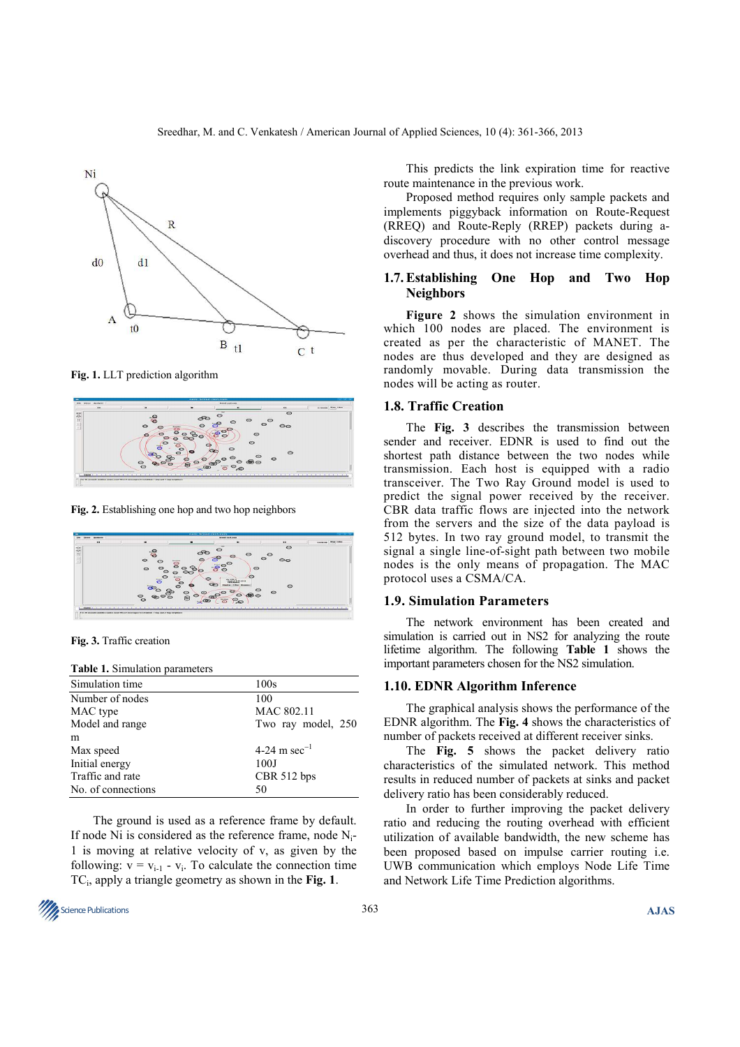

**Fig. 1.** LLT prediction algorithm



**Fig. 2.** Establishing one hop and two hop neighbors



**Fig. 3.** Traffic creation

#### **Table 1.** Simulation parameters

| Simulation time    | 100s                     |
|--------------------|--------------------------|
| Number of nodes    | 100                      |
| MAC type           | MAC 802.11               |
| Model and range    | Two ray model, 250       |
| m                  |                          |
| Max speed          | 4-24 m sec <sup>-1</sup> |
| Initial energy     | 100J                     |
| Traffic and rate   | CBR 512 bps              |
| No. of connections | 50                       |

 The ground is used as a reference frame by default. If node Ni is considered as the reference frame, node Ni-1 is moving at relative velocity of v, as given by the following:  $v = v_{i-1} - v_i$ . To calculate the connection time TC<sup>i</sup> , apply a triangle geometry as shown in the **Fig. 1**.

**Science Publications AJAS AS** 

 This predicts the link expiration time for reactive route maintenance in the previous work.

 Proposed method requires only sample packets and implements piggyback information on Route-Request (RREQ) and Route-Reply (RREP) packets during adiscovery procedure with no other control message overhead and thus, it does not increase time complexity.

## **1.7. Establishing One Hop and Two Hop Neighbors**

 **Figure 2** shows the simulation environment in which 100 nodes are placed. The environment is created as per the characteristic of MANET. The nodes are thus developed and they are designed as randomly movable. During data transmission the nodes will be acting as router.

### **1.8. Traffic Creation**

The **Fig. 3** describes the transmission between sender and receiver. EDNR is used to find out the shortest path distance between the two nodes while transmission. Each host is equipped with a radio transceiver. The Two Ray Ground model is used to predict the signal power received by the receiver. CBR data traffic flows are injected into the network from the servers and the size of the data payload is 512 bytes. In two ray ground model, to transmit the signal a single line-of-sight path between two mobile nodes is the only means of propagation. The MAC protocol uses a CSMA/CA.

#### **1.9. Simulation Parameters**

The network environment has been created and simulation is carried out in NS2 for analyzing the route lifetime algorithm. The following **Table 1** shows the important parameters chosen for the NS2 simulation.

#### **1.10. EDNR Algorithm Inference**

The graphical analysis shows the performance of the EDNR algorithm. The **Fig. 4** shows the characteristics of number of packets received at different receiver sinks.

 The **Fig. 5** shows the packet delivery ratio characteristics of the simulated network. This method results in reduced number of packets at sinks and packet delivery ratio has been considerably reduced.

 In order to further improving the packet delivery ratio and reducing the routing overhead with efficient utilization of available bandwidth, the new scheme has been proposed based on impulse carrier routing i.e. UWB communication which employs Node Life Time and Network Life Time Prediction algorithms.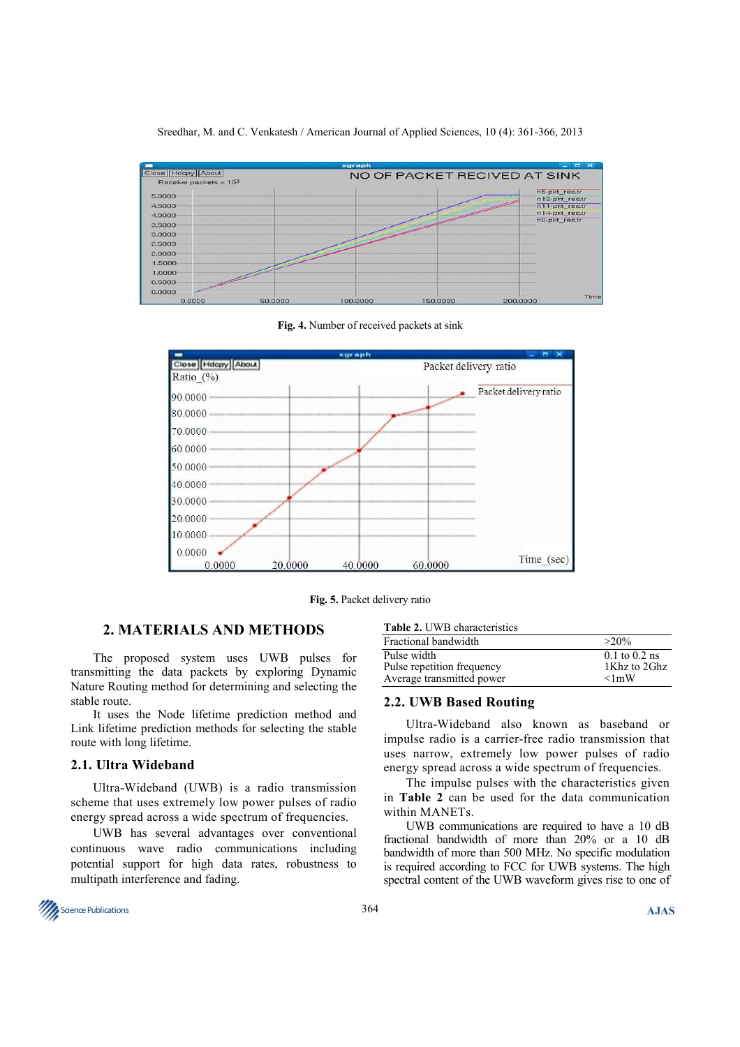| Close   Hdcpy   About<br>Receive packets x 103 | NO OF PACKET RECIVED AT SINK |                                 |
|------------------------------------------------|------------------------------|---------------------------------|
| 5.0000                                         |                              | n5-pkt_rec.tr<br>n12-pkt_rec.tr |
| 4.5000                                         |                              | n11-pkt rec.tr                  |
| $4.0000 -$                                     |                              | n14-pkt_rec.tr                  |
| 3,5000<br>$3.0000 -$                           |                              | n0-pkt_rec.tr                   |
| 2.5000                                         |                              |                                 |
| 2.0000                                         |                              |                                 |
| 1.5000                                         |                              |                                 |
| 1.0000<br>0.5000<br>0.0000                     |                              |                                 |

Sreedhar, M. and C. Venkatesh / American Journal of Applied Sciences, 10 (4): 361-366, 2013

**Fig. 4.** Number of received packets at sink



**Fig. 5.** Packet delivery ratio

# **2. MATERIALS AND METHODS**

 The proposed system uses UWB pulses for transmitting the data packets by exploring Dynamic Nature Routing method for determining and selecting the stable route.

 It uses the Node lifetime prediction method and Link lifetime prediction methods for selecting the stable route with long lifetime.

### **2.1. Ultra Wideband**

Ultra-Wideband (UWB) is a radio transmission scheme that uses extremely low power pulses of radio energy spread across a wide spectrum of frequencies.

 UWB has several advantages over conventional continuous wave radio communications including potential support for high data rates, robustness to multipath interference and fading.

| Fractional bandwidth       | $>20\%$           |
|----------------------------|-------------------|
| Pulse width                | $0.1$ to $0.2$ ns |
| Pulse repetition frequency | 1Khz to 2Ghz      |
| Average transmitted power  | $\leq$ lmW        |

## **2.2. UWB Based Routing**

Ultra-Wideband also known as baseband or impulse radio is a carrier-free radio transmission that uses narrow, extremely low power pulses of radio energy spread across a wide spectrum of frequencies.

 The impulse pulses with the characteristics given in **Table 2** can be used for the data communication within MANETs.

 UWB communications are required to have a 10 dB fractional bandwidth of more than 20% or a 10 dB bandwidth of more than 500 MHz. No specific modulation is required according to FCC for UWB systems. The high spectral content of the UWB waveform gives rise to one of

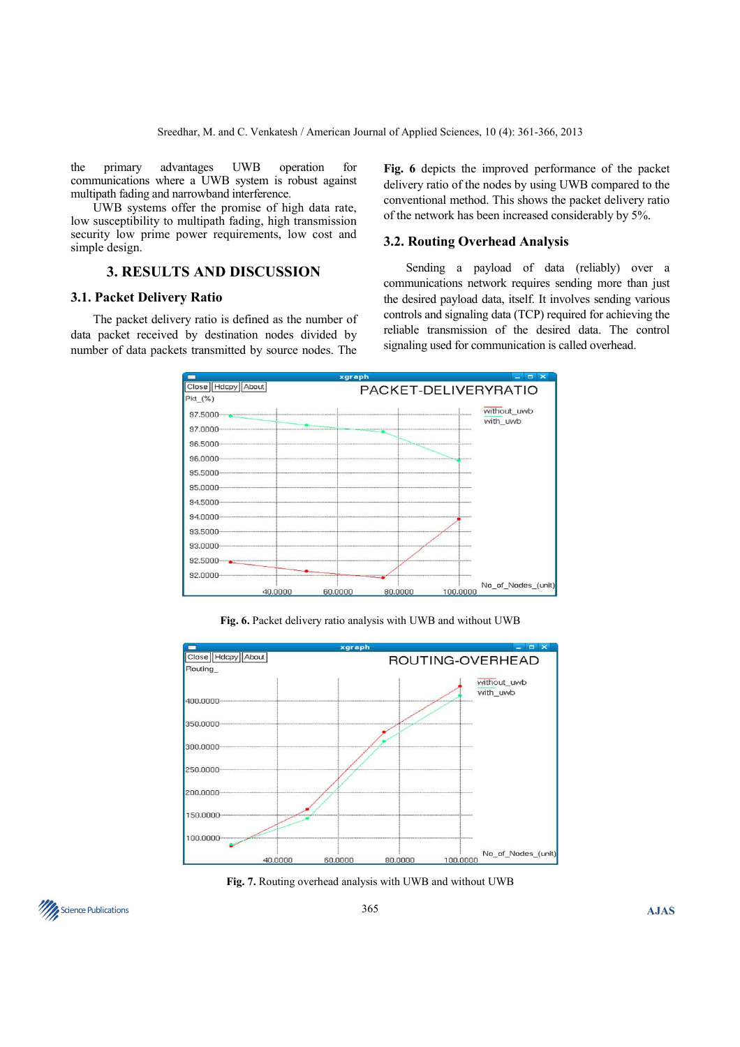the primary advantages UWB operation for communications where a UWB system is robust against multipath fading and narrowband interference.

 UWB systems offer the promise of high data rate, low susceptibility to multipath fading, high transmission security low prime power requirements, low cost and simple design.

# **3. RESULTS AND DISCUSSION**

## **3.1. Packet Delivery Ratio**

The packet delivery ratio is defined as the number of data packet received by destination nodes divided by number of data packets transmitted by source nodes. The **Fig. 6** depicts the improved performance of the packet delivery ratio of the nodes by using UWB compared to the conventional method. This shows the packet delivery ratio of the network has been increased considerably by 5%.

## **3.2. Routing Overhead Analysis**

Sending a payload of data (reliably) over a communications network requires sending more than just the desired payload data, itself. It involves sending various controls and signaling data (TCP) required for achieving the reliable transmission of the desired data. The control signaling used for communication is called overhead.



**Fig. 6.** Packet delivery ratio analysis with UWB and without UWB



**Fig. 7.** Routing overhead analysis with UWB and without UWB